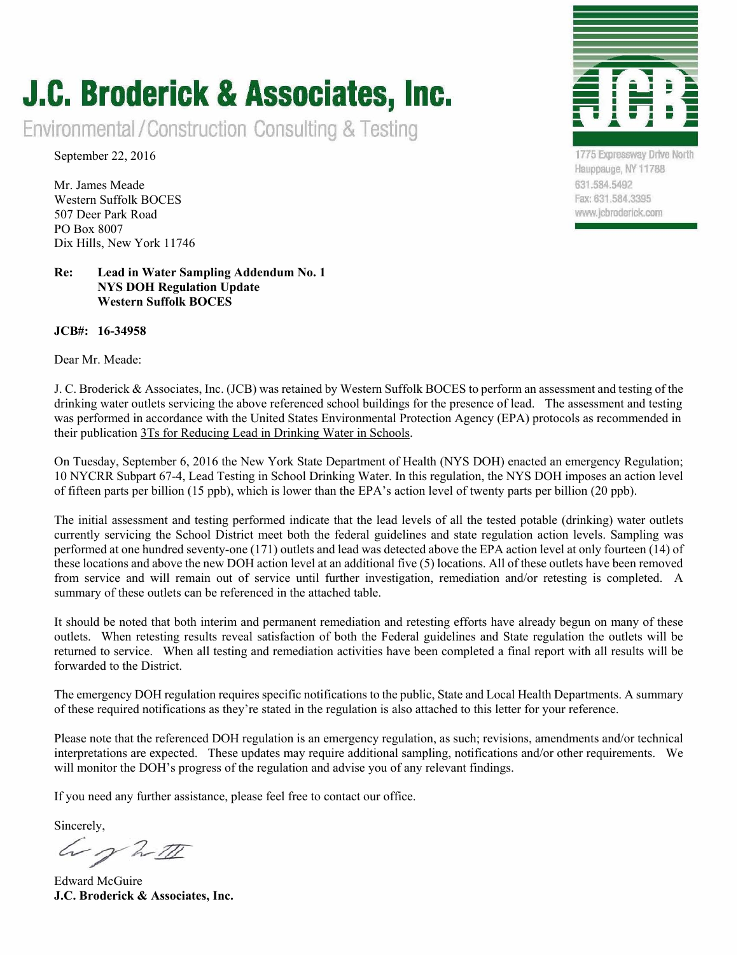## **J.C. Broderick & Associates, Inc.**

Environmental/Construction Consulting & Testing

September 22, 2016

Mr. James Meade Western Suffolk BOCES 507 Deer Park Road PO Box 8007 Dix Hills, New York 11746

## **Re: Lead in Water Sampling Addendum No. 1 NYS DOH Regulation Update Western Suffolk BOCES**

## **JCB#: 16-34958**

Dear Mr. Meade:



1775 Expressway Drive North Hauppauge, NY 11788 631.584.5492 Fax: 631.584.3395 www.jcbroderick.com

J. C. Broderick & Associates, Inc. (JCB) was retained by Western Suffolk BOCES to perform an assessment and testing of the drinking water outlets servicing the above referenced school buildings for the presence of lead. The assessment and testing was performed in accordance with the United States Environmental Protection Agency (EPA) protocols as recommended in their publication 3Ts for Reducing Lead in Drinking Water in Schools.

On Tuesday, September 6, 2016 the New York State Department of Health (NYS DOH) enacted an emergency Regulation; 10 NYCRR Subpart 67-4, Lead Testing in School Drinking Water. In this regulation, the NYS DOH imposes an action level of fifteen parts per billion (15 ppb), which is lower than the EPA's action level of twenty parts per billion (20 ppb).

The initial assessment and testing performed indicate that the lead levels of all the tested potable (drinking) water outlets currently servicing the School District meet both the federal guidelines and state regulation action levels. Sampling was performed at one hundred seventy-one (171) outlets and lead was detected above the EPA action level at only fourteen (14) of these locations and above the new DOH action level at an additional five (5) locations. All of these outlets have been removed from service and will remain out of service until further investigation, remediation and/or retesting is completed. A summary of these outlets can be referenced in the attached table.

It should be noted that both interim and permanent remediation and retesting efforts have already begun on many of these outlets. When retesting results reveal satisfaction of both the Federal guidelines and State regulation the outlets will be returned to service. When all testing and remediation activities have been completed a final report with all results will be forwarded to the District.

The emergency DOH regulation requires specific notifications to the public, State and Local Health Departments. A summary of these required notifications as they're stated in the regulation is also attached to this letter for your reference.

Please note that the referenced DOH regulation is an emergency regulation, as such; revisions, amendments and/or technical interpretations are expected. These updates may require additional sampling, notifications and/or other requirements. We will monitor the DOH's progress of the regulation and advise you of any relevant findings.

If you need any further assistance, please feel free to contact our office.

Sincerely,

Worth

Edward McGuire **J.C. Broderick & Associates, Inc.**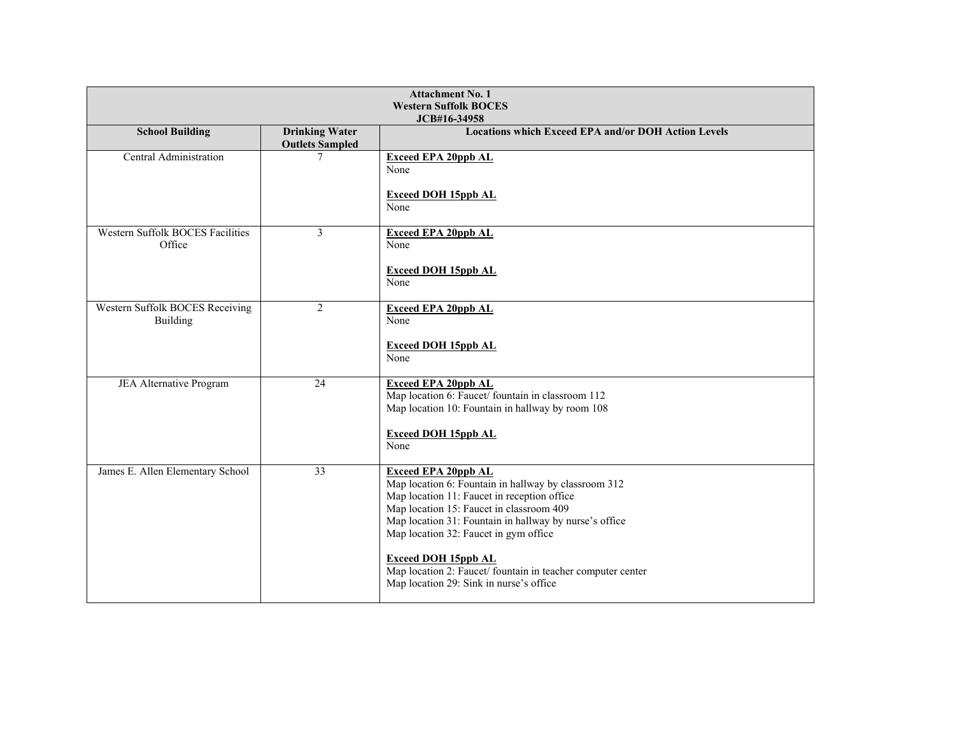| <b>Attachment No. 1</b><br><b>Western Suffolk BOCES</b><br>JCB#16-34958 |                                                 |                                                                                                                                                                                                                                                                                                                                                                                                                          |  |
|-------------------------------------------------------------------------|-------------------------------------------------|--------------------------------------------------------------------------------------------------------------------------------------------------------------------------------------------------------------------------------------------------------------------------------------------------------------------------------------------------------------------------------------------------------------------------|--|
| <b>School Building</b>                                                  | <b>Drinking Water</b><br><b>Outlets Sampled</b> | <b>Locations which Exceed EPA and/or DOH Action Levels</b>                                                                                                                                                                                                                                                                                                                                                               |  |
| Central Administration                                                  |                                                 | <b>Exceed EPA 20ppb AL</b><br>None<br><b>Exceed DOH 15ppb AL</b><br>None                                                                                                                                                                                                                                                                                                                                                 |  |
| Western Suffolk BOCES Facilities<br>Office                              | 3                                               | <b>Exceed EPA 20ppb AL</b><br>None<br><b>Exceed DOH 15ppb AL</b><br>None                                                                                                                                                                                                                                                                                                                                                 |  |
| Western Suffolk BOCES Receiving<br><b>Building</b>                      | $\overline{2}$                                  | <b>Exceed EPA 20ppb AL</b><br>None<br><b>Exceed DOH 15ppb AL</b><br>None                                                                                                                                                                                                                                                                                                                                                 |  |
| JEA Alternative Program                                                 | 24                                              | <b>Exceed EPA 20ppb AL</b><br>Map location 6: Faucet/ fountain in classroom 112<br>Map location 10: Fountain in hallway by room 108<br><b>Exceed DOH 15ppb AL</b><br>None                                                                                                                                                                                                                                                |  |
| James E. Allen Elementary School                                        | $\overline{33}$                                 | <b>Exceed EPA 20ppb AL</b><br>Map location 6: Fountain in hallway by classroom 312<br>Map location 11: Faucet in reception office<br>Map location 15: Faucet in classroom 409<br>Map location 31: Fountain in hallway by nurse's office<br>Map location 32: Faucet in gym office<br><b>Exceed DOH 15ppb AL</b><br>Map location 2: Faucet/ fountain in teacher computer center<br>Map location 29: Sink in nurse's office |  |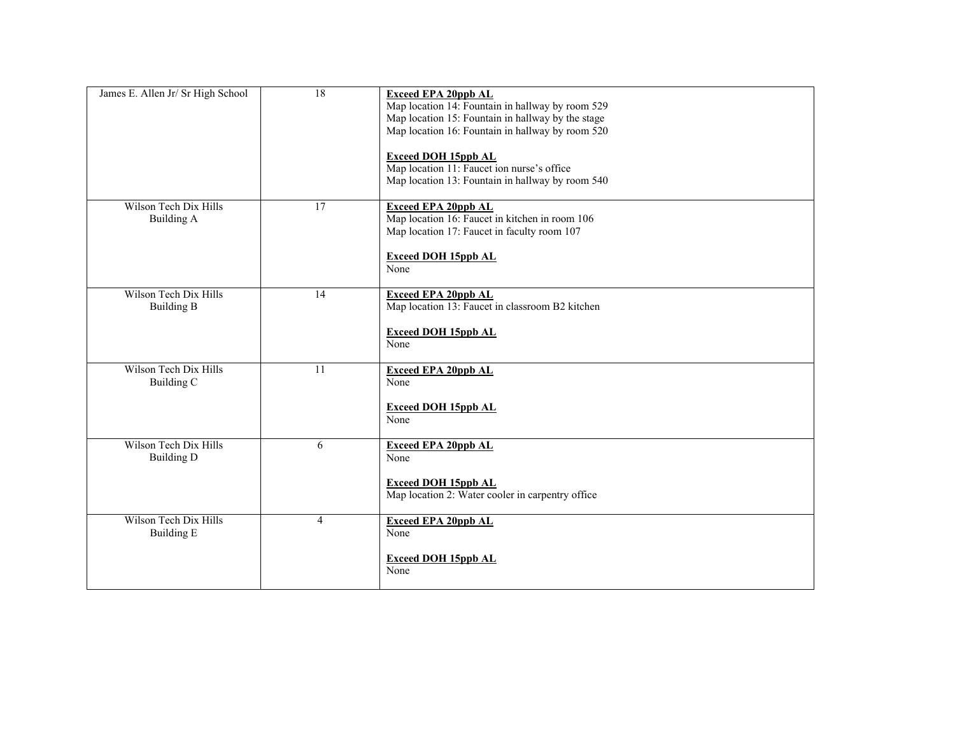| James E. Allen Jr/ Sr High School          | 18              | <b>Exceed EPA 20ppb AL</b><br>Map location 14: Fountain in hallway by room 529<br>Map location 15: Fountain in hallway by the stage<br>Map location 16: Fountain in hallway by room 520<br><b>Exceed DOH 15ppb AL</b><br>Map location 11: Faucet ion nurse's office<br>Map location 13: Fountain in hallway by room 540 |
|--------------------------------------------|-----------------|-------------------------------------------------------------------------------------------------------------------------------------------------------------------------------------------------------------------------------------------------------------------------------------------------------------------------|
| Wilson Tech Dix Hills<br><b>Building A</b> | $\overline{17}$ | <b>Exceed EPA 20ppb AL</b><br>Map location 16: Faucet in kitchen in room 106<br>Map location 17: Faucet in faculty room 107<br><b>Exceed DOH 15ppb AL</b><br>None                                                                                                                                                       |
| Wilson Tech Dix Hills<br><b>Building B</b> | 14              | <b>Exceed EPA 20ppb AL</b><br>Map location 13: Faucet in classroom B2 kitchen<br><b>Exceed DOH 15ppb AL</b><br>None                                                                                                                                                                                                     |
| Wilson Tech Dix Hills<br><b>Building C</b> | 11              | <b>Exceed EPA 20ppb AL</b><br>None<br><b>Exceed DOH 15ppb AL</b><br>None                                                                                                                                                                                                                                                |
| Wilson Tech Dix Hills<br><b>Building D</b> | 6               | <b>Exceed EPA 20ppb AL</b><br>None<br><b>Exceed DOH 15ppb AL</b><br>Map location 2: Water cooler in carpentry office                                                                                                                                                                                                    |
| Wilson Tech Dix Hills<br><b>Building E</b> | $\overline{4}$  | <b>Exceed EPA 20ppb AL</b><br>None<br><b>Exceed DOH 15ppb AL</b><br>None                                                                                                                                                                                                                                                |